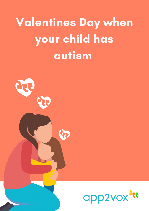# Valentines Day when your child has autism



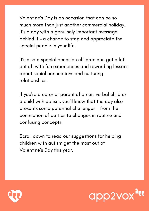Valentine ' s Day is an occasion that can be so much more than just another commercial holiday. It' s a day with a genuinely important message behind it – a chance to stop and appreciate the special people in your life.

It' s also a special occasion children can get a lot out of, with fun experiences and rewarding lessons about social connections and nurturing relationships.

If you ' re a carer or parent of a non-verbal child or a child with autism, you 'll know that the day also presents some potential challenges – from the commotion of parties to changes in routine and confusing concepts.

Scroll down to read our suggestions for helping children with autism get the most out of Valentine ' s Day this year.



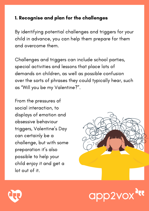# 1. Recognise and plan for the challenges

By identifying potential challenges and triggers for your child in advance, you can help them prepare for them and overcome them.

Challenges and triggers can include school parties, special activities and lessons that place lots of demands on children, as well as possible confusion over the sorts of phrases they could typically hear, such as "Will you be my Valentine?".

From the pressures of social interaction, to displays of emotion and obsessive behaviour triggers, Valentine ' s Day can certainly be a challenge, but with some preparation it' s also possible to help your child enjoy it and get a lot out of it.





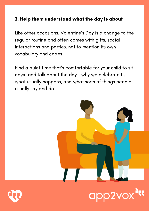# 2. Help them understand what the day is about

Like other occasions, Valentine ' s Day is a change to the regular routine and often comes with gifts, social interactions and parties, not to mention its own vocabulary and codes.

Find a quiet time that' s comfortable for your child to sit down and talk about the day – why we celebrate it, what usually happens, and what sorts of things people usually say and do.



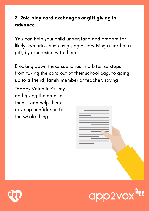# 3. Role play card exchanges or gift giving in advance

You can help your child understand and prepare for likely scenarios, such as giving or receiving a card or a gift, by rehearsing with them.

Breaking down these scenarios into bitesize steps – from taking the card out of their school bag, to going up to a friend, family member or teacher, saying

"Happy Valentine ' s Day " , and giving the card to them – can help them develop confidence for the whole thing.





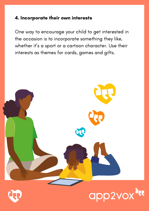#### 4. Incorporate their own interests

One way to encourage your child to get interested in the occasion is to incorporate something they like, whether it' s a sport or a cartoon character. Use their interests as themes for cards, games and gifts.



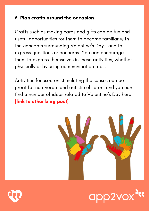# 5. Plan crafts around the occasion

Crafts such as making cards and gifts can be fun and useful opportunities for them to become familiar with the concepts surrounding Valentine ' s Day – and to express questions or concerns. You can encourage them to express themselves in these activities, whether physically or by using communication tools.

Activities focused on stimulating the senses can be great for non-verbal and autistic children, and you can find a number of ideas related to Valentine ' s Day here. [link to other blog post]